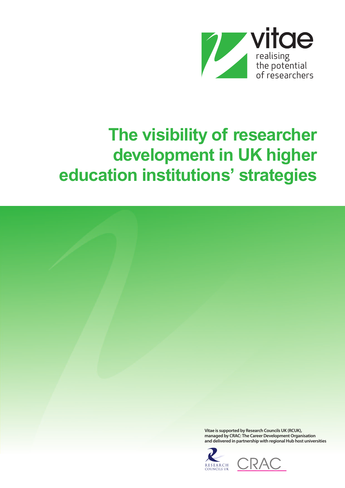

# **The visibility of researcher development in UK higher education institutions' strategies**



**COUNCILS UK**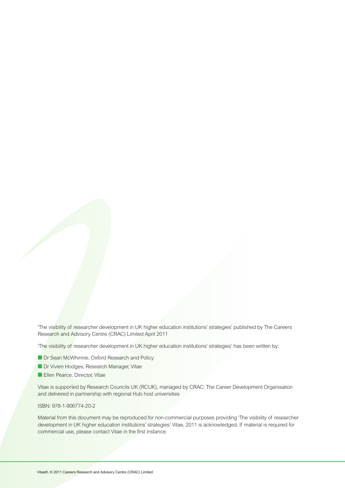'The visibility of researcher development in UK higher education institutions' strategies' published by The Careers Research and Advisory Centre (CRAC) Limited April 2011

'The visibility of researcher development in UK higher education institutions' strategies' has been written by:

- Dr Sean McWhinnie, Oxford Research and Policy
- Dr Vivien Hodges, Research Manager, Vitae
- Ellen Pearce, Director, Vitae

Vitae is supported by Research Councils UK (RCUK), managed by CRAC: The Career Development Organisation and delivered in partnership with regional Hub host universities

### ISBN: 978-1-906774-20-2

Material from this document may be reproduced for non-commercial purposes providing 'The visibility of researcher development in UK higher education institutions' strategies' Vitae, 2011 is acknowledged. If material is required for commercial use, please contact Vitae in the first instance.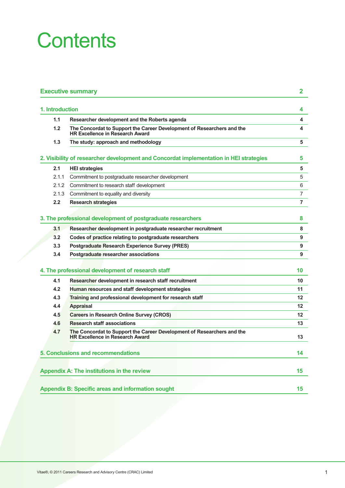# **Contents**

| 1.1   | Researcher development and the Roberts agenda                                                                    |  |
|-------|------------------------------------------------------------------------------------------------------------------|--|
| 1.2   | The Concordat to Support the Career Development of Researchers and the<br><b>HR Excellence in Research Award</b> |  |
| 1.3   | The study: approach and methodology                                                                              |  |
|       | 2. Visibility of researcher development and Concordat implementation in HEI strategies                           |  |
| 2.1   | <b>HEI strategies</b>                                                                                            |  |
| 2.1.1 | Commitment to postgraduate researcher development                                                                |  |
| 2.1.2 | Commitment to research staff development                                                                         |  |
| 2.1.3 | Commitment to equality and diversity                                                                             |  |
| 2.2   | <b>Research strategies</b>                                                                                       |  |
|       |                                                                                                                  |  |
|       | 3. The professional development of postgraduate researchers                                                      |  |
| 3.1   | Researcher development in postgraduate researcher recruitment                                                    |  |
| 3.2   | Codes of practice relating to postgraduate researchers                                                           |  |
| 3.3   | <b>Postgraduate Research Experience Survey (PRES)</b>                                                            |  |
| 3.4   | Postgraduate researcher associations                                                                             |  |
|       | 4. The professional development of research staff                                                                |  |
| 4.1   | Researcher development in research staff recruitment                                                             |  |
| 4.2   | Human resources and staff development strategies                                                                 |  |
| 4.3   | Training and professional development for research staff                                                         |  |
| 4.4   | <b>Appraisal</b>                                                                                                 |  |
| 4.5   | <b>Careers in Research Online Survey (CROS)</b>                                                                  |  |
| 4.6   | <b>Research staff associations</b>                                                                               |  |
| 4.7   | The Concordat to Support the Career Development of Researchers and the<br><b>HR Excellence in Research Award</b> |  |
|       | 5. Conclusions and recommendations                                                                               |  |
|       |                                                                                                                  |  |
|       | <b>Appendix A: The institutions in the review</b>                                                                |  |
|       |                                                                                                                  |  |
|       |                                                                                                                  |  |
|       | <b>Appendix B: Specific areas and information sought</b>                                                         |  |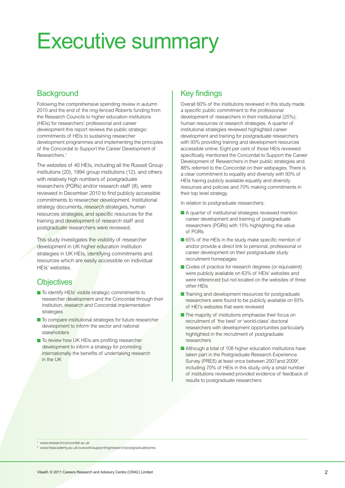# <span id="page-3-0"></span>Executive summary

# **Background**

Following the comprehensive spending review in autumn 2010 and the end of the ring-fenced Roberts funding from the Research Councils to higher education institutions (HEIs) for researchers' professional and career development this report reviews the public strategic commitments of HEIs to sustaining researcher development programmes and implementing the principles of the Concordat to Support the Career Development of Researchers.1

The websites of 40 HEIs, including all the Russell Group institutions (20), 1994 group institutions (12), and others with relatively high numbers of postgraduate researchers (PGRs) and/or research staff (8), were reviewed in December 2010 to find publicly accessible commitments to researcher development. Institutional strategy documents, research strategies, human resources strategies, and specific resources for the training and development of research staff and postgraduate researchers were reviewed.

This study investigates the visibility of researcher development in UK higher education institution strategies in UK HEIs, identifying commitments and resources which are easily accessible on individual HEIs' websites.

## **Objectives**

- **To identify HEIs' visible strategic commitments to** researcher development and the Concordat through their institution, research and Concordat implementation strategies
- **To compare institutional strategies for future researcher** development to inform the sector and national stakeholders
- **To review how UK HEIs are profiling researcher** development to inform a strategy for promoting internationally the benefits of undertaking research in the UK

# Key findings

Overall 60% of the institutions reviewed in this study made a specific public commitment to the professional development of researchers in their institutional (25%), human resources or research strategies. A quarter of institutional strategies reviewed highlighted career development and training for postgraduate researchers with 93% providing training and development resources accessible online. Eight per cent of those HEIs reviewed specifically mentioned the Concordat to Support the Career Development of Researchers in their public strategies and 88% referred to the Concordat on their webpages. There is a clear commitment to equality and diversity with 93% of HEIs having publicly available equality and diversity resources and policies and 70% making commitments in their top level strategy.

In relation to postgraduate researchers:

- **A** quarter of institutional strategies reviewed mention career development and training of postgraduate researchers (PGRs) with 15% highlighting the value of PGRs
- 65% of the HEIs in the study make specific mention of and/or provide a direct link to personal, professional or career development on their postgraduate study recruitment homepages
- Codes of practice for research degrees (or equivalent) were publicly available on 63% of HEIs' websites and were referenced but not located on the websites of three other HEIs
- **Training and development resources for postgraduate** researchers were found to be publicly available on 93% of HEI's websites that were reviewed
- **The majority of institutions emphasise their focus on** recruitment of 'the best' or 'world-class' doctoral researchers with development opportunities particularly highlighted in the recruitment of postgraduate researchers
- Although a total of 108 higher education institutions have taken part in the Postgraduate Research Experience Survey (PRES) at least once between 2007 and 2009<sup>2</sup>, including 70% of HEIs in this study, only a small number of institutions reviewed provided evidence of feedback of results to postgraduate researchers

1 www.researchconcordat.ac.uk

2 www.heacademy.ac.uk/ourwork/supportingresearch/postgraduate/pres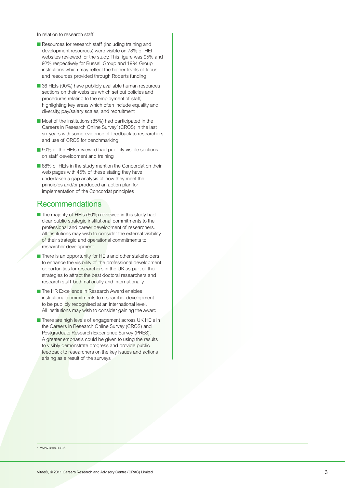In relation to research staff:

- Resources for research staff (including training and development resources) were visible on 78% of HEI websites reviewed for the study. This figure was 95% and 92% respectively for Russell Group and 1994 Group institutions which may reflect the higher levels of focus and resources provided through Roberts funding
- **■** 36 HEIs (90%) have publicly available human resources sections on their websites which set out policies and procedures relating to the employment of staff, highlighting key areas which often include equality and diversity, pay/salary scales, and recruitment
- Most of the institutions (85%) had participated in the Careers in Research Online Survey3 (CROS) in the last six years with some evidence of feedback to researchers and use of CROS for benchmarking
- 90% of the HEIs reviewed had publicly visible sections on staff development and training
- 88% of HEIs in the study mention the Concordat on their web pages with 45% of these stating they have undertaken a gap analysis of how they meet the principles and/or produced an action plan for implementation of the Concordat principles

### Recommendations

- The majority of HEIs (60%) reviewed in this study had clear public strategic institutional commitments to the professional and career development of researchers. All institutions may wish to consider the external visibility of their strategic and operational commitments to researcher development
- There is an opportunity for HEIs and other stakeholders to enhance the visibility of the professional development opportunities for researchers in the UK as part of their strategies to attract the best doctoral researchers and research staff both nationally and internationally
- The HR Excellence in Research Award enables institutional commitments to researcher development to be publicly recognised at an international level. All institutions may wish to consider gaining the award
- **■** There are high levels of engagement across UK HEIs in the Careers in Research Online Survey (CROS) and Postgraduate Research Experience Survey (PRES). A greater emphasis could be given to using the results to visibly demonstrate progress and provide public feedback to researchers on the key issues and actions arising as a result of the surveys

3 www.cros.ac.uk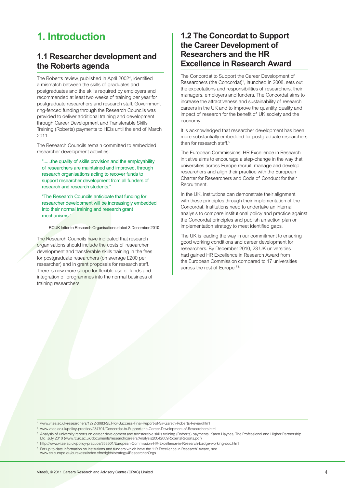# <span id="page-5-0"></span>**1. Introduction**

## **1.1 Researcher development and the Roberts agenda**

The Roberts review, published in April 20024 , identified a mismatch between the skills of graduates and postgraduates and the skills required by employers and recommended at least two weeks of training per year for postgraduate researchers and research staff. Government ring-fenced funding through the Research Councils was provided to deliver additional training and development through Career Development and Transferable Skills Training (Roberts) payments to HEIs until the end of March 2011.

The Research Councils remain committed to embedded researcher development activities:

"......the quality of skills provision and the employability of researchers are maintained and improved, through research organisations acting to recover funds to support researcher development from all funders of research and research students."

"The Research Councils anticipate that funding for researcher development will be increasingly embedded into their normal training and research grant mechanisms."

RCUK letter to Research Organisations dated 3 December 2010

The Research Councils have indicated that research organisations should include the costs of researcher development and transferable skills training in the fees for postgraduate researchers (on average £200 per researcher) and in grant proposals for research staff. There is now more scope for flexible use of funds and integration of programmes into the normal business of training researchers.

## **1.2 The Concordat to Support the Career Development of Researchers and the HR Excellence in Research Award**

The Concordat to Support the Career Development of Researchers (the Concordat)<sup>5</sup>, launched in 2008, sets out the expectations and responsibilities of researchers, their managers, employers and funders. The Concordat aims to increase the attractiveness and sustainability of research careers in the UK and to improve the quantity, quality and impact of research for the benefit of UK society and the economy.

It is acknowledged that researcher development has been more substantially embedded for postgraduate researchers than for research staff.<sup>6</sup>

The European Commissions' HR Excellence in Research initiative aims to encourage a step-change in the way that universities across Europe recruit, manage and develop researchers and align their practice with the European Charter for Researchers and Code of Conduct for their Recruitment.

In the UK, institutions can demonstrate their alignment with these principles through their implementation of the Concordat. Institutions need to undertake an internal analysis to compare institutional policy and practice against the Concordat principles and publish an action plan or implementation strategy to meet identified gaps.

The UK is leading the way in our commitment to ensuring good working conditions and career development for researchers. By December 2010, 23 UK universities had gained HR Excellence in Research Award from the European Commission compared to 17 universities across the rest of Europe.<sup>78</sup>

4 www.vitae.ac.uk/researchers/1272-3083/SET-for-Success-Final-Report-of-Sir-Gareth-Roberts-Review.html

5 www.vitae.ac.uk/policy-practice/234701/Concordat-to-Support-the-Career-Development-of-Researchers.html

<sup>6</sup> Analysis of university reports on career development and transferable skills training (Roberts) payments, Karen Haynes, The Professional and Higher Partnership Ltd, July 2010 (www.rcuk.ac.uk/documents/researchcareers/Analysis20042009RobertsReports.pdf)

7 http://www.vitae.ac.uk/policy-practice/353501/European-Commission-HR-Excellence-in-Research-badge-working-doc.html

<sup>8</sup> For up to date information on institutions and funders which have the 'HR Excellence in Research' Award, see www.ec.europa.eu/euraxess/index.cfm/rights/strategy4ResearcherOrgs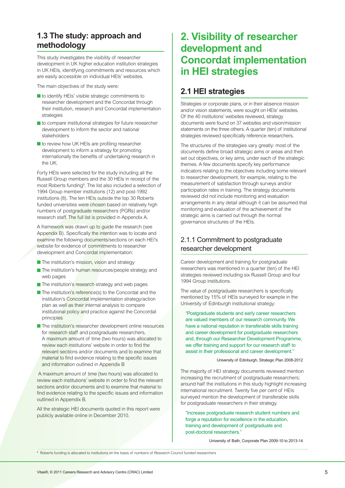# <span id="page-6-0"></span>**1.3 The study: approach and methodology**

This study investigates the visibility of researcher development in UK higher education institution strategies in UK HEIs, identifying commitments and resources which are easily accessible on individual HEIs' websites.

The main objectives of the study were:

- **■** to identify HEIs' visible strategic commitments to researcher development and the Concordat through their institution, research and Concordat implementation strategies
- **■** to compare institutional strategies for future researcher development to inform the sector and national stakeholders
- to review how UK HEIs are profiling researcher development to inform a strategy for promoting internationally the benefits of undertaking research in the UK.

Forty HEIs were selected for the study including all the Russell Group members and the 30 HEIs in receipt of the most Roberts funding<sup>9</sup>. The list also included a selection of 1994 Group member institutions (12) and post-1992 institutions (8). The ten HEIs outside the top 30 Roberts funded universities were chosen based on relatively high numbers of postgraduate researchers (PGRs) and/or research staff. The full list is provided in Appendix A.

A framework was drawn up to guide the research (see Appendix B). Specifically the intention was to locate and examine the following documents/sections on each HEI's website for evidence of commitments to researcher development and Concordat implementation:

- **The institution's mission, vision and strategy**
- **The institution's human resources/people strategy and** web pages
- The institution's research strategy and web pages
- The institution's reference(s) to the Concordat and the institution's Concordat implementation strategy/action plan as well as their internal analysis to compare institutional policy and practice against the Concordat principles
- The institution's researcher development online resources for research staff and postgraduate researchers. A maximum amount of time (two hours) was allocated to review each institutions' website in order to find the relevant sections and/or documents and to examine that material to find evidence relating to the specific issues and information outlined in Appendix B

A maximum amount of time (two hours) was allocated to review each institutions' website in order to find the relevant sections and/or documents and to examine that material to find evidence relating to the specific issues and information outlined in Appendix B.

All the strategic HEI documents quoted in this report were publicly available online in December 2010.

# **2. Visibility of researcher development and Concordat implementation in HEI strategies**

# **2.1 HEI strategies**

Strategies or corporate plans, or in their absence mission and/or vision statements, were sought on HEIs' websites. Of the 40 institutions' websites reviewed, strategy documents were found on 37 websites and vision/mission statements on the three others. A quarter (ten) of institutional strategies reviewed specifically reference researchers.

The structures of the strategies vary greatly: most of the documents define broad strategic aims or areas and then set out objectives, or key aims, under each of the strategic themes. A few documents specify key performance indicators relating to the objectives including some relevant to researcher development, for example, relating to the measurement of satisfaction through surveys and/or participation rates in training. The strategy documents reviewed did not include monitoring and evaluation arrangements in any detail although it can be assumed that monitoring and evaluation of the achievement of the strategic aims is carried out through the normal governance structures of the HEIs.

## 2.1.1 Commitment to postgraduate researcher development

Career development and training for postgraduate researchers was mentioned in a quarter (ten) of the HEI strategies reviewed including six Russell Group and four 1994 Group institutions.

The value of postgraduate researchers is specifically mentioned by 15% of HEIs surveyed for example in the University of Edinburgh institutional strategy:

"Postgraduate students and early career researchers are valued members of our research community. We have a national reputation in transferable skills training and career development for postgraduate researchers and, through our Researcher Development Programme, we offer training and support for our research staff to assist in their professional and career development."

University of Edinburgh, Strategic Plan 2008-2012

The majority of HEI strategy documents reviewed mention increasing the recruitment of postgraduate researchers; around half the institutions in this study highlight increasing international recruitment. Twenty five per cent of HEIs surveyed mention the development of transferable skills for postgraduate researchers in their strategy.

"Increase postgraduate research student numbers and forge a reputation for excellence in the education, training and development of postgraduate and post-doctoral researchers."

University of Bath, Corporate Plan 2009-10 to 2013-14

9 Roberts funding is allocated to institutions on the basis of numbers of Research Council funded researchers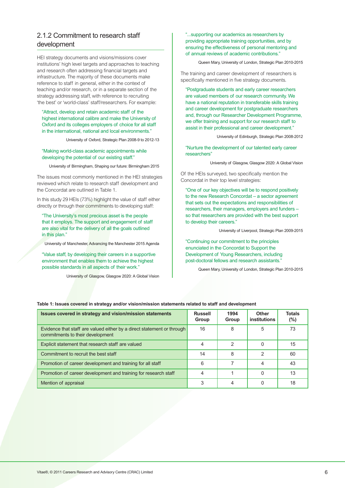### <span id="page-7-0"></span>2.1.2 Commitment to research staff development

HEI strategy documents and visions/missions cover institutions' high level targets and approaches to teaching and research often addressing financial targets and infrastructure. The majority of these documents make reference to staff in general, either in the context of teaching and/or research, or in a separate section of the strategy addressing staff, with reference to recruiting 'the best' or 'world-class' staff/researchers. For example:

### "Attract, develop and retain academic staff of the highest international calibre and make the University of Oxford and its colleges employers of choice for all staff in the international, national and local environments."

University of Oxford, Strategic Plan 2008-9 to 2012-13

### "Making world-class academic appointments while developing the potential of our existing staff."

University of Birmingham, Shaping our future: Birmingham 2015

The issues most commonly mentioned in the HEI strategies reviewed which relate to research staff development and the Concordat are outlined in Table 1.

In this study 29 HEIs (73%) highlight the value of staff either directly or through their commitments to developing staff:

"The University's most precious asset is the people that it employs. The support and engagement of staff are also vital for the delivery of all the goals outlined in this plan."

University of Manchester, Advancing the Manchester 2015 Agenda

"Value staff, by developing their careers in a supportive environment that enables them to achieve the highest possible standards in all aspects of their work."

University of Glasgow, Glasgow 2020: A Global Vision

"...supporting our academics as researchers by providing appropriate training opportunities, and by ensuring the effectiveness of personal mentoring and of annual reviews of academic contributions."

Queen Mary, University of London, Strategic Plan 2010-2015

The training and career development of researchers is specifically mentioned in five strategy documents.

"Postgraduate students and early career researchers are valued members of our research community. We have a national reputation in transferable skills training and career development for postgraduate researchers and, through our Researcher Development Programme, we offer training and support for our research staff to assist in their professional and career development."

University of Edinburgh, Strategic Plan 2008-2012

"Nurture the development of our talented early career researchers"

University of Glasgow, Glasgow 2020: A Global Vision

Of the HEIs surveyed, two specifically mention the Concordat in their top level strategies:

"One of our key objectives will be to respond positively to the new Research Concordat – a sector agreement that sets out the expectations and responsibilities of researchers, their managers, employers and funders – so that researchers are provided with the best support to develop their careers."

University of Liverpool, Strategic Plan 2009-2015

"Continuing our commitment to the principles enunciated in the Concordat to Support the Development of Young Researchers, including post-doctoral fellows and research assistants."

Queen Mary, University of London, Strategic Plan 2010-2015

#### **Table 1: Issues covered in strategy and/or vision/mission statements related to staff and development**

| Issues covered in strategy and vision/mission statements                                                   | <b>Russell</b><br>Group | 1994<br>Group | <b>Other</b><br>institutions | <b>Totals</b><br>$(\% )$ |
|------------------------------------------------------------------------------------------------------------|-------------------------|---------------|------------------------------|--------------------------|
| Evidence that staff are valued either by a direct statement or through<br>commitments to their development | 16                      | 8             | 5                            | 73                       |
| Explicit statement that research staff are valued                                                          | 4                       | $\mathcal{P}$ | 0                            | 15                       |
| Commitment to recruit the best staff                                                                       | 14                      | 8             | 2                            | 60                       |
| Promotion of career development and training for all staff                                                 | 6                       |               | 4                            | 43                       |
| Promotion of career development and training for research staff                                            |                         |               | O                            | 13                       |
| Mention of appraisal                                                                                       | 3                       |               |                              | 18                       |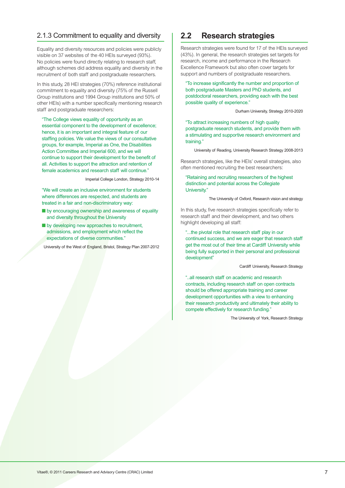### <span id="page-8-0"></span>2.1.3 Commitment to equality and diversity

Equality and diversity resources and policies were publicly visible on 37 websites of the 40 HEIs surveyed (93%). No policies were found directly relating to research staff, although schemes did address equality and diversity in the recruitment of both staff and postgraduate researchers.

In this study, 28 HEI strategies (70%) reference institutional commitment to equality and diversity (75% of the Russell Group institutions and 1994 Group institutions and 50% of other HEIs) with a number specifically mentioning research staff and postgraduate researchers:

"The College views equality of opportunity as an essential component to the development of excellence; hence, it is an important and integral feature of our staffing policies. We value the views of our consultative groups, for example, Imperial as One, the Disabilities Action Committee and Imperial 600, and we will continue to support their development for the benefit of all. Activities to support the attraction and retention of female academics and research staff will continue."

Imperial College London, Strategy 2010-14

"We will create an inclusive environment for students where differences are respected, and students are treated in a fair and non-discriminatory way:

- by encouraging ownership and awareness of equality and diversity throughout the University
- **■** by developing new approaches to recruitment, admissions, and employment which reflect the expectations of diverse communities."

University of the West of England, Bristol, Strategy Plan 2007-2012

# **2.2 Research strategies**

Research strategies were found for 17 of the HEIs surveyed (43%). In general, the research strategies set targets for research, income and performance in the Research Excellence Framework but also often cover targets for support and numbers of postgraduate researchers.

"To increase significantly the number and proportion of both postgraduate Masters and PhD students, and postdoctoral researchers, providing each with the best possible quality of experience."

Durham University, Strategy 2010-2020

"To attract increasing numbers of high quality postgraduate research students, and provide them with a stimulating and supportive research environment and training."

University of Reading, University Research Strategy 2008-2013

Research strategies, like the HEIs' overall strategies, also often mentioned recruiting the best researchers:

### "Retaining and recruiting researchers of the highest distinction and potential across the Collegiate University."

The University of Oxford, Research vision and strategy

In this study, five research strategies specifically refer to research staff and their development, and two others highlight developing all staff:

"...the pivotal role that research staff play in our continued success, and we are eager that research staff get the most out of their time at Cardiff University while being fully supported in their personal and professional development"

Cardiff University, Research Strategy

"..all research staff on academic and research contracts, including research staff on open contracts should be offered appropriate training and career development opportunities with a view to enhancing their research productivity and ultimately their ability to compete effectively for research funding."

The University of York, Research Strategy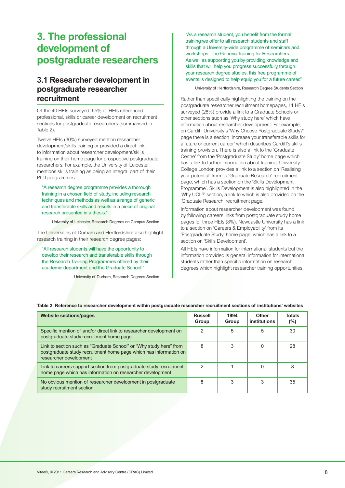# <span id="page-9-0"></span>**3. The professional development of postgraduate researchers**

# **3.1 Researcher development in postgraduate researcher recruitment**

Of the 40 HEIs surveyed, 65% of HEIs referenced professional, skills or career development on recruitment sections for postgraduate researchers (summarised in Table 2).

Twelve HEIs (30%) surveyed mention researcher development/skills training or provided a direct link to information about researcher development/skills training on their home page for prospective postgraduate researchers. For example, the University of Leicester mentions skills training as being an integral part of their PhD programmes:

"A research degree programme provides a thorough training in a chosen field of study, including research techniques and methods as well as a range of generic and transferable skills and results in a piece of original research presented in a thesis."

University of Leicester, Research Degrees on Campus Section

The Universities of Durham and Hertfordshire also highlight research training in their research degree pages:

"All research students will have the opportunity to develop their research and transferable skills through the Research Training Programmes offered by their academic department and the Graduate School."

University of Durham, Research Degrees Section

"As a research student, you benefit from the formal training we offer to all research students and staff through a University-wide programme of seminars and workshops - the Generic Training for Researchers. As well as supporting you by providing knowledge and skills that will help you progress successfully through your research degree studies, this free programme of events is designed to help equip you for a future career."

University of Hertfordshire, Research Degree Students Section

Rather than specifically highlighting the training on the postgraduate researcher recruitment homepages, 11 HEIs surveyed (28%) provide a link to a Graduate Schools or other sections such as 'Why study here' which have information about researcher development. For example, on Cardiff University's 'Why Choose Postgraduate Study?' page there is a section 'Increase your transferable skills for a future or current career' which describes Cardiff's skills training provision. There is also a link to the 'Graduate Centre' from the 'Postgraduate Study' home page which has a link to further information about training. University College London provides a link to a section on 'Realising your potential' from its 'Graduate Research' recruitment page, which has a section on the 'Skills Development Programme'. Skills Development is also highlighted in the 'Why UCL?' section, a link to which is also provided on the 'Graduate Research' recruitment page.

Information about researcher development was found by following careers links from postgraduate study home pages for three HEIs (8%). Newcastle University has a link to a section on 'Careers & Employability' from its 'Postgraduate Study' home page, which has a link to a section on 'Skills Development'.

All HEIs have information for international students but the information provided is general information for international students rather than specific information on research degrees which highlight researcher training opportunities.

| <b>Website sections/pages</b>                                                                                                                                     | <b>Russell</b><br>Group | 1994<br>Group | Other<br>institutions | <b>Totals</b><br>$(\% )$ |
|-------------------------------------------------------------------------------------------------------------------------------------------------------------------|-------------------------|---------------|-----------------------|--------------------------|
| Specific mention of and/or direct link to researcher development on<br>postgraduate study recruitment home page                                                   | 2                       | 5             | 5                     | 30                       |
| Link to section such as "Graduate School" or "Why study here" from<br>postgraduate study recruitment home page which has information on<br>researcher development | 8                       | 3             |                       | 28                       |
| Link to careers support section from postgraduate study recruitment<br>home page which has information on researcher development                                  | 2                       |               | $\Omega$              | 8                        |
| No obvious mention of researcher development in postgraduate<br>study recruitment section                                                                         | 8                       | 3             | 3                     | 35                       |

**Table 2: Reference to researcher development within postgraduate researcher recruitment sections of institutions' websites**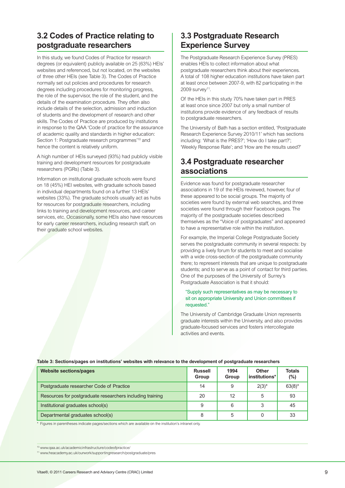# <span id="page-10-0"></span>**3.2 Codes of Practice relating to postgraduate researchers**

In this study, we found Codes of Practice for research degrees (or equivalent) publicly available on 25 (63%) HEIs' websites and referenced, but not located, on the websites of three other HEIs (see Table 3). The Codes of Practice normally set out policies and procedures for research degrees including procedures for monitoring progress, the role of the supervisor, the role of the student, and the details of the examination procedure. They often also include details of the selection, admission and induction of students and the development of research and other skills. The Codes of Practice are produced by institutions in response to the QAA 'Code of practice for the assurance of academic quality and standards in higher education: Section 1: Postgraduate research programmes'<sup>10</sup> and hence the content is relatively uniform.

A high number of HEIs surveyed (93%) had publicly visible training and development resources for postgraduate researchers (PGRs) (Table 3).

Information on institutional graduate schools were found on 18 (45%) HEI websites, with graduate schools based in individual departments found on a further 13 HEIs' websites (33%). The graduate schools usually act as hubs for resources for postgraduate researchers, including links to training and development resources, and career services, etc. Occasionally, some HEIs also have resources for early career researchers, including research staff, on their graduate school websites.

# **3.3 Postgraduate Research Experience Survey**

The Postgraduate Research Experience Survey (PRES) enables HEIs to collect information about what postgraduate researchers think about their experiences. A total of 108 higher education institutions have taken part at least once between 2007-9, with 82 participating in the 2009 survey<sup>11</sup>.

Of the HEIs in this study 70% have taken part in PRES at least once since 2007 but only a small number of institutions provide evidence of any feedback of results to postgraduate researchers.

The University of Bath has a section entitled, 'Postgraduate Research Experience Survey 2010/11' which has sections including: 'What is the PRES?'; 'How do I take part?'; 'Weekly Response Rate'; and 'How are the results used?'

## **3.4 Postgraduate researcher associations**

Evidence was found for postgraduate researcher associations in 19 of the HEIs reviewed, however, four of these appeared to be social groups. The majority of societies were found by external web searches, and three societies were found through their Facebook pages. The majority of the postgraduate societies described themselves as the "Voice of postgraduates" and appeared to have a representative role within the institution.

For example, the Imperial College Postgraduate Society serves the postgraduate community in several respects: by providing a lively forum for students to meet and socialise with a wide cross-section of the postgraduate community there; to represent interests that are unique to postgraduate students; and to serve as a point of contact for third parties. One of the purposes of the University of Surrey's Postgraduate Association is that it should:

### "Supply such representatives as may be necessary to sit on appropriate University and Union committees if requested."

The University of Cambridge Graduate Union represents graduate interests within the University, and also provides graduate-focused services and fosters intercollegiate activities and events.

| <b>Website sections/pages</b>                             | <b>Russell</b><br>Group | 1994<br>Group | <b>Other</b><br>institutions* | <b>Totals</b><br>$(\% )$ |
|-----------------------------------------------------------|-------------------------|---------------|-------------------------------|--------------------------|
| Postgraduate researcher Code of Practice                  | 14                      | 9             | $2(3)^{*}$                    | $63(8)^{*}$              |
| Resources for postgraduate researchers including training | 20                      | 12            | 5                             | 93                       |
| Institutional graduates school(s)                         | 9                       | 6             | 3                             | 45                       |
| Departmental graduates school(s)                          |                         | 5             |                               | 33                       |

### **Table 3: Sections/pages on institutions' websites with relevance to the development of postgraduate researchers**

\* Figures in parentheses indicate pages/sections which are available on the institution's intranet only.

<sup>10</sup> www.qaa.ac.uk/academicinfrastructure/codeofpractice/

<sup>11</sup> www.heacademy.ac.uk/ourwork/supportingresearch/postgraduate/pres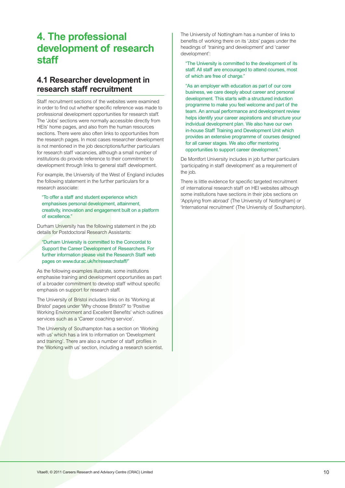# **4. The professional development of research staff**

# **4.1 Researcher development in research staff recruitment**

Staff recruitment sections of the websites were examined in order to find out whether specific reference was made to professional development opportunities for research staff. The 'Jobs' sections were normally accessible directly from HEIs' home pages, and also from the human resources sections. There were also often links to opportunities from the research pages. In most cases researcher development is not mentioned in the job descriptions/further particulars for research staff vacancies, although a small number of institutions do provide reference to their commitment to development through links to general staff development.

For example, the University of the West of England includes the following statement in the further particulars for a research associate:

"To offer a staff and student experience which emphasises personal development, attainment, creativity, innovation and engagement built on a platform of excellence."

Durham University has the following statement in the job details for Postdoctoral Research Assistants:

"Durham University is committed to the Concordat to Support the Career Development of Researchers. For further information please visit the Research Staff web pages on www.dur.ac.uk/hr/researchstaff/"

As the following examples illustrate, some institutions emphasise training and development opportunities as part of a broader commitment to develop staff without specific emphasis on support for research staff.

The University of Bristol includes links on its 'Working at Bristol' pages under 'Why choose Bristol?' to 'Positive Working Environment and Excellent Benefits' which outlines services such as a 'Career coaching service'.

The University of Southampton has a section on 'Working with us' which has a link to information on 'Development and training'. There are also a number of staff profiles in the 'Working with us' section, including a research scientist. The University of Nottingham has a number of links to benefits of working there on its 'Jobs' pages under the headings of 'training and development' and 'career development':

"The University is committed to the development of its staff. All staff are encouraged to attend courses, most of which are free of charge."

"As an employer with education as part of our core business, we care deeply about career and personal development. This starts with a structured induction programme to make you feel welcome and part of the team. An annual performance and development review helps identify your career aspirations and structure your individual development plan. We also have our own in-house Staff Training and Development Unit which provides an extensive programme of courses designed for all career stages. We also offer mentoring opportunities to support career development."

De Montfort University includes in job further particulars 'participating in staff development' as a requirement of the job.

There is little evidence for specific targeted recruitment of international research staff on HEI websites although some institutions have sections in their jobs sections on 'Applying from abroad' (The University of Nottingham) or 'International recruitment' (The University of Southampton).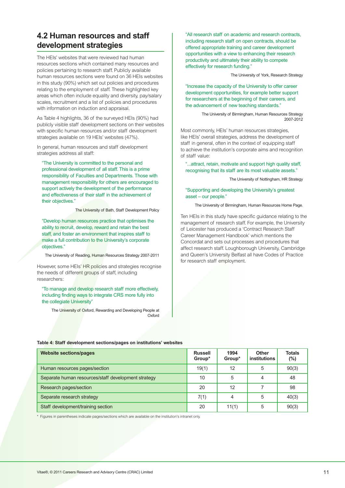# <span id="page-12-0"></span>**4.2 Human resources and staff development strategies**

The HEIs' websites that were reviewed had human resources sections which contained many resources and policies pertaining to research staff. Publicly available human resources sections were found on 36 HEIs websites in this study (90%) which set out policies and procedures relating to the employment of staff. These highlighted key areas which often include equality and diversity, pay/salary scales, recruitment and a list of policies and procedures with information on induction and appraisal.

As Table 4 highlights, 36 of the surveyed HEIs (90%) had publicly visible staff development sections on their websites with specific human resources and/or staff development strategies available on 19 HEIs' websites (47%).

In general, human resources and staff development strategies address all staff:

"The University is committed to the personal and professional development of all staff. This is a prime responsibility of Faculties and Departments. Those with management responsibility for others are encouraged to support actively the development of the performance and effectiveness of their staff in the achievement of their objectives."

The University of Bath, Staff Development Policy

"Develop human resources practice that optimises the ability to recruit, develop, reward and retain the best staff, and foster an environment that inspires staff to make a full contribution to the University's corporate objectives."

The University of Reading, Human Resources Strategy 2007-2011

However, some HEIs' HR policies and strategies recognise the needs of different groups of staff, including researchers:

"To manage and develop research staff more effectively, including finding ways to integrate CRS more fully into the collegiate University"

The University of Oxford, Rewarding and Developing People at **Oxford** 

"All research staff on academic and research contracts, including research staff on open contracts, should be offered appropriate training and career development opportunities with a view to enhancing their research productivity and ultimately their ability to compete effectively for research funding."

The University of York, Research Strategy

"Increase the capacity of the University to offer career development opportunities, for example better support for researchers at the beginning of their careers, and the advancement of new teaching standards."

> The University of Birmingham, Human Resources Strategy 2007-2012

Most commonly, HEIs' human resources strategies, like HEIs' overall strategies, address the development of staff in general, often in the context of equipping staff to achieve the institution's corporate aims and recognition of staff value:

"...attract, retain, motivate and support high quality staff, recognising that its staff are its most valuable assets."

The University of Nottingham, HR Strategy

### "Supporting and developing the University's greatest asset – our people."

#### The University of Birmingham, Human Resources Home Page.

Ten HEIs in this study have specific guidance relating to the management of research staff. For example, the University of Leicester has produced a 'Contract Research Staff Career Management Handbook' which mentions the Concordat and sets out processes and procedures that affect research staff. Loughborough University, Cambridge and Queen's University Belfast all have Codes of Practice for research staff employment.

### **Table 4: Staff development sections/pages on institutions' websites**

| <b>Website sections/pages</b>                       | <b>Russell</b><br>Group* | 1994<br>Group* | <b>Other</b><br>institutions | <b>Totals</b><br>$(\%)$ |
|-----------------------------------------------------|--------------------------|----------------|------------------------------|-------------------------|
| Human resources pages/section                       | 19(1)                    | 12             | 5                            | 90(3)                   |
| Separate human resources/staff development strategy | 10                       | 5              | 4                            | 48                      |
| Research pages/section                              | 20                       | 12             |                              | 98                      |
| Separate research strategy                          | 7(1)                     | 4              | 5                            | 40(3)                   |
| Staff development/training section                  | 20                       | 11(1)          | 5                            | 90(3)                   |

\* Figures in parentheses indicate pages/sections which are available on the institution's intranet only.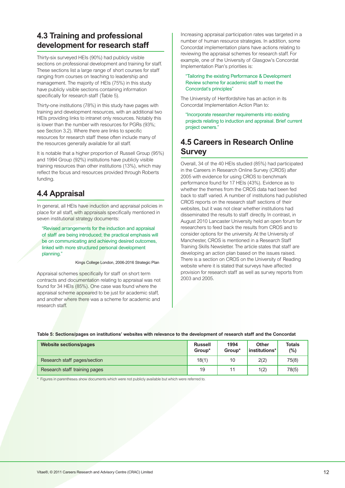# <span id="page-13-0"></span>**4.3 Training and professional development for research staff**

Thirty-six surveyed HEIs (90%) had publicly visible sections on professional development and training for staff. These sections list a large range of short courses for staff ranging from courses on teaching to leadership and management. The majority of HEIs (75%) in this study have publicly visible sections containing information specifically for research staff (Table 5).

Thirty-one institutions (78%) in this study have pages with training and development resources, with an additional two HEIs providing links to intranet only resources. Notably this is lower than the number with resources for PGRs (93%; see Section 3.2). Where there are links to specific resources for research staff these often include many of the resources generally available for all staff.

It is notable that a higher proportion of Russell Group (95%) and 1994 Group (92%) institutions have publicly visible training resources than other institutions (13%), which may reflect the focus and resources provided through Roberts funding.

# **4.4 Appraisal**

In general, all HEIs have induction and appraisal policies in place for all staff, with appraisals specifically mentioned in seven institutional strategy documents:

"Revised arrangements for the induction and appraisal of staff are being introduced; the practical emphasis will be on communicating and achieving desired outcomes, linked with more structured personal development planning."

Kings College London, 2006-2016 Strategic Plan

Appraisal schemes specifically for staff on short term contracts and documentation relating to appraisal was not found for 34 HEIs (85%). One case was found where the appraisal scheme appeared to be just for academic staff, and another where there was a scheme for academic and research staff.

Increasing appraisal participation rates was targeted in a number of human resource strategies. In addition, some Concordat implementation plans have actions relating to reviewing the appraisal schemes for research staff. For example, one of the University of Glasgow's Concordat Implementation Plan's priorities is:

"Tailoring the existing Performance & Development Review scheme for academic staff to meet the Concordat's principles"

The University of Hertfordshire has an action in its Concordat Implementation Action Plan to:

"Incorporate researcher requirements into existing projects relating to induction and appraisal. Brief current project owners."

# **4.5 Careers in Research Online Survey**

Overall, 34 of the 40 HEIs studied (85%) had participated in the Careers in Research Online Survey (CROS) after 2005 with evidence for using CROS to benchmark performance found for 17 HEIs (43%). Evidence as to whether the themes from the CROS data had been fed back to staff varied. A number of institutions had published CROS reports on the research staff sections of their websites, but it was not clear whether institutions had disseminated the results to staff directly. In contrast, in August 2010 Lancaster University held an open forum for researchers to feed back the results from CROS and to consider options for the university. At the University of Manchester, CROS is mentioned in a Research Staff Training Skills Newsletter. The article states that staff are developing an action plan based on the issues raised. There is a section on CROS on the University of Reading website where it is stated that surveys have affected provision for research staff as well as survey reports from 2003 and 2005.

### **Table 5: Sections/pages on institutions' websites with relevance to the development of research staff and the Concordat**

| <b>Website sections/pages</b> | <b>Russell</b><br>Group* | 1994<br>Group* | Other<br>institutions*l | <b>Totals</b><br>(%) |
|-------------------------------|--------------------------|----------------|-------------------------|----------------------|
| Research staff pages/section  | 18(1)                    | 10             | 2(2)                    | 75(8)                |
| Research staff training pages | 19                       | 11             | 1(2)                    | 78(5)                |

\* Figures in parentheses show documents which were not publicly available but which were referred to.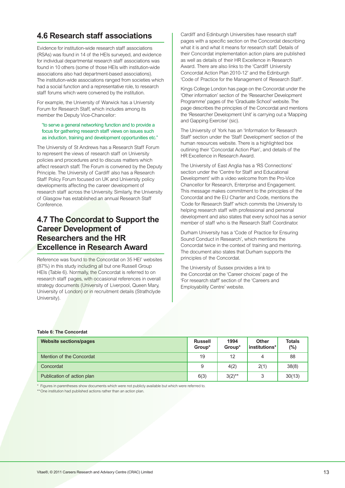# <span id="page-14-0"></span>**4.6 Research staff associations**

Evidence for institution-wide research staff associations (RSAs) was found in 14 of the HEIs surveyed, and evidence for individual departmental research staff associations was found in 10 others (some of those HEIs with institution-wide associations also had department-based associations). The institution-wide associations ranged from societies which had a social function and a representative role, to research staff forums which were convened by the institution.

For example, the University of Warwick has a University Forum for Research Staff, which includes among its member the Deputy Vice-Chancellor:

### "to serve a general networking function and to provide a focus for gathering research staff views on issues such as induction, training and development opportunities etc."

The University of St Andrews has a Research Staff Forum to represent the views of research staff on University policies and procedures and to discuss matters which affect research staff. The Forum is convened by the Deputy Principle. The University of Cardiff also has a Research Staff Policy Forum focused on UK and University policy developments affecting the career development of research staff across the University. Similarly, the University of Glasgow has established an annual Research Staff Conference.

# **4.7 The Concordat to Support the Career Development of Researchers and the HR Excellence in Research Award**

Reference was found to the Concordat on 35 HEI' websites (87%) in this study including all but one Russell Group HEIs (Table 6). Normally, the Concordat is referred to on research staff pages, with occasional references in overall strategy documents (University of Liverpool, Queen Mary, University of London) or in recruitment details (Strathclyde University).

Cardiff and Edinburgh Universities have research staff pages with a specific section on the Concordat describing what it is and what it means for research staff. Details of their Concordat implementation action plans are published as well as details of their HR Excellence in Research Award. There are also links to the 'Cardiff University Concordat Action Plan 2010-12' and the Edinburgh 'Code of Practice for the Management of Research Staff'.

Kings College London has page on the Concordat under the 'Other information' section of the 'Researcher Development Programme' pages of the 'Graduate School' website. The page describes the principles of the Concordat and mentions the 'Researcher Development Unit' is carrying out a 'Mapping and Gapping Exercise' (sic).

The University of York has an 'Information for Research Staff' section under the 'Staff Development' section of the human resources website. There is a highlighted box outlining their 'Concordat Action Plan', and details of the HR Excellence in Research Award.

The University of East Anglia has a 'RS Connections' section under the 'Centre for Staff and Educational Development' with a video welcome from the Pro-Vice Chancellor for Research, Enterprise and Engagement. This message makes commitment to the principles of the Concordat and the EU Charter and Code, mentions the 'Code for Research Staff' which commits the University to helping research staff with professional and personal development and also states that every school has a senior member of staff who is the Research Staff Coordinator.

Durham University has a 'Code of Practice for Ensuring Sound Conduct in Research', which mentions the Concordat twice in the context of training and mentoring. The document also states that Durham supports the principles of the Concordat.

The University of Sussex provides a link to the Concordat on the 'Career choices' page of the 'For research staff' section of the 'Careers and Employability Centre' website.

### **Table 6: The Concordat**

| <b>Website sections/pages</b> | <b>Russell</b><br>Group* | 1994<br>Group* | <b>Other</b><br>institutions* | <b>Totals</b><br>(%) |
|-------------------------------|--------------------------|----------------|-------------------------------|----------------------|
| Mention of the Concordat      | 19                       | 12             | 4                             | 88                   |
| Concordat                     | 9                        | 4(2)           | 2(1)                          | 38(8)                |
| Publication of action plan    | 6(3)                     | $3(2)$ **      | 3                             | 30(13)               |

\* Figures in parentheses show documents which were not publicly available but which were referred to.

\*\*One institution had published actions rather than an action plan.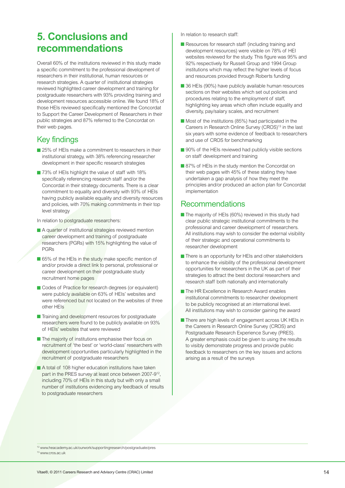# <span id="page-15-0"></span>**5. Conclusions and recommendations**

Overall 60% of the institutions reviewed in this study made a specific commitment to the professional development of researchers in their institutional, human resources or research strategies. A quarter of institutional strategies reviewed highlighted career development and training for postgraduate researchers with 93% providing training and development resources accessible online. We found 18% of those HEIs reviewed specifically mentioned the Concordat to Support the Career Development of Researchers in their public strategies and 87% referred to the Concordat on their web pages.

# Key findings

- 25% of HEIs make a commitment to researchers in their institutional strategy, with 38% referencing researcher development in their specific research strategies
- 73% of HEIs highlight the value of staff with 18% specifically referencing research staff and/or the Concordat in their strategy documents. There is a clear commitment to equality and diversity with 93% of HEIs having publicly available equality and diversity resources and policies, with 70% making commitments in their top level strategy

In relation to postgraduate researchers:

- **A** quarter of institutional strategies reviewed mention career development and training of postgraduate researchers (PGRs) with 15% highlighting the value of PGRs
- 65% of the HEIs in the study make specific mention of and/or provide a direct link to personal, professional or career development on their postgraduate study recruitment home pages
- Codes of Practice for research degrees (or equivalent) were publicly available on 63% of HEIs' websites and were referenced but not located on the websites of three other HEIs
- **Training and development resources for postgraduate** researchers were found to be publicly available on 93% of HEIs' websites that were reviewed
- The majority of institutions emphasise their focus on recruitment of 'the best' or 'world-class' researchers with development opportunities particularly highlighted in the recruitment of postgraduate researchers
- **A** total of 108 higher education institutions have taken part in the PRES survey at least once between 2007-912, including 70% of HEIs in this study but with only a small number of institutions evidencing any feedback of results to postgraduate researchers

In relation to research staff:

- **Resources for research staff (including training and** development resources) were visible on 78% of HEI websites reviewed for the study. This figure was 95% and 92% respectively for Russell Group and 1994 Group institutions which may reflect the higher levels of focus and resources provided through Roberts funding
- 36 HEIs (90%) have publicly available human resources sections on their websites which set out policies and procedures relating to the employment of staff, highlighting key areas which often include equality and diversity, pay/salary scales, and recruitment
- Most of the institutions (85%) had participated in the Careers in Research Online Survey (CROS)<sup>13</sup> in the last six years with some evidence of feedback to researchers and use of CROS for benchmarking
- 90% of the HEIs reviewed had publicly visible sections on staff development and training
- 87% of HEIs in the study mention the Concordat on their web pages with 45% of these stating they have undertaken a gap analysis of how they meet the principles and/or produced an action plan for Concordat implementation

### Recommendations

- The majority of HEIs (60%) reviewed in this study had clear public strategic institutional commitments to the professional and career development of researchers. All institutions may wish to consider the external visibility of their strategic and operational commitments to researcher development
- **■** There is an opportunity for HEIs and other stakeholders to enhance the visibility of the professional development opportunities for researchers in the UK as part of their strategies to attract the best doctoral researchers and research staff both nationally and internationally
- The HR Excellence in Research Award enables institutional commitments to researcher development to be publicly recognised at an international level. All institutions may wish to consider gaining the award
- **■** There are high levels of engagement across UK HEIs in the Careers in Research Online Survey (CROS) and Postgraduate Research Experience Survey (PRES). A greater emphasis could be given to using the results to visibly demonstrate progress and provide public feedback to researchers on the key issues and actions arising as a result of the surveys

<sup>12</sup> www.heacademy.ac.uk/ourwork/supportingresearch/postgraduate/pres 13 www.cros.ac.uk